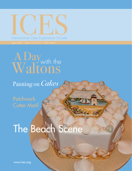# ICES IN AURA DE SOCIETÉ

### with the A Day Waltons

### Painting on *Cakes*

**Patchwork Cutter Motif** 

# The Beach Scene

August 2012 / ICES Newsletter **1**